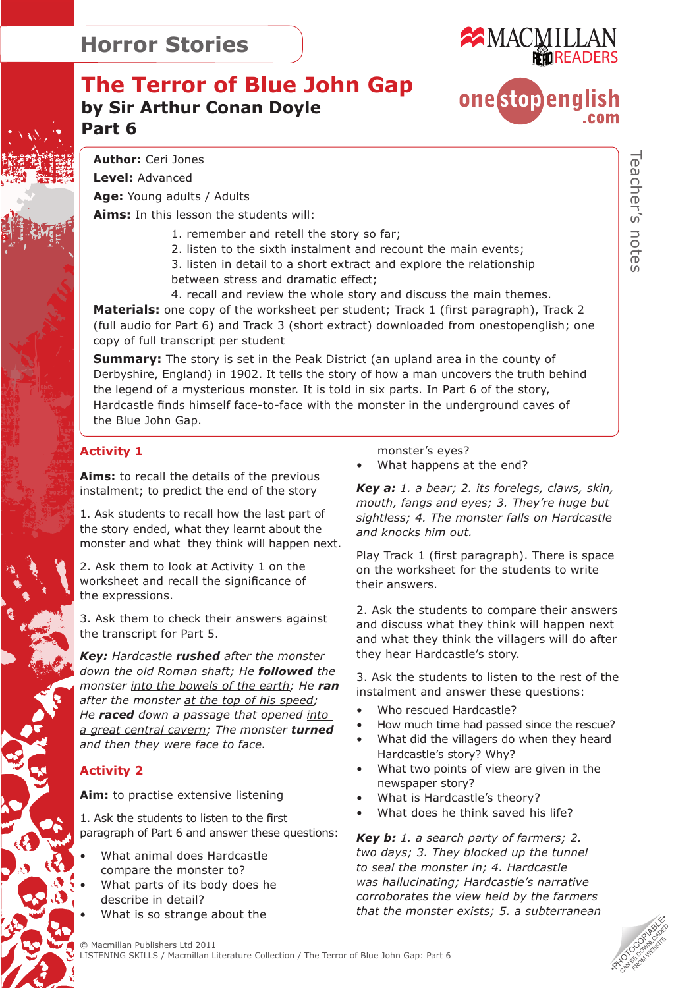

**one**stopenglish

### **The Terror of Blue John Gap by Sir Arthur Conan Doyle Part 6**



**Level:** Advanced

**Age:** Young adults / Adults

**Aims:** In this lesson the students will:

- 1. remember and retell the story so far;
- 2. listen to the sixth instalment and recount the main events;

 3. listen in detail to a short extract and explore the relationship between stress and dramatic effect;

 4. recall and review the whole story and discuss the main themes. **Materials:** one copy of the worksheet per student; Track 1 (first paragraph), Track 2 (full audio for Part 6) and Track 3 (short extract) downloaded from onestopenglish; one copy of full transcript per student

**Summary:** The story is set in the Peak District (an upland area in the county of Derbyshire, England) in 1902. It tells the story of how a man uncovers the truth behind the legend of a mysterious monster. It is told in six parts. In Part 6 of the story, Hardcastle finds himself face-to-face with the monster in the underground caves of the Blue John Gap.

#### **Activity 1**

**Aims:** to recall the details of the previous instalment; to predict the end of the story

1. Ask students to recall how the last part of the story ended, what they learnt about the monster and what they think will happen next.

2. Ask them to look at Activity 1 on the worksheet and recall the significance of the expressions.

3. Ask them to check their answers against the transcript for Part 5.

*Key: Hardcastle rushed after the monster down the old Roman shaft; He followed the monster into the bowels of the earth; He ran after the monster at the top of his speed; He raced down a passage that opened into a great central cavern; The monster turned and then they were face to face.* 

#### **Activity 2**

**Aim:** to practise extensive listening

1. Ask the students to listen to the first paragraph of Part 6 and answer these questions:

- What animal does Hardcastle compare the monster to?
- What parts of its body does he describe in detail?
- What is so strange about the

monster's eyes?

• What happens at the end?

*Key a: 1. a bear; 2. its forelegs, claws, skin, mouth, fangs and eyes; 3. They're huge but sightless; 4. The monster falls on Hardcastle and knocks him out.*

Play Track 1 (first paragraph). There is space on the worksheet for the students to write their answers.

2. Ask the students to compare their answers and discuss what they think will happen next and what they think the villagers will do after they hear Hardcastle's story.

3. Ask the students to listen to the rest of the instalment and answer these questions:

- Who rescued Hardcastle?
- How much time had passed since the rescue?
- What did the villagers do when they heard Hardcastle's story? Why?
- What two points of view are given in the newspaper story?
- What is Hardcastle's theory?
- What does he think saved his life?

*Key b: 1. a search party of farmers; 2. two days; 3. They blocked up the tunnel to seal the monster in; 4. Hardcastle was hallucinating; Hardcastle's narrative corroborates the view held by the farmers that the monster exists; 5. a subterranean*

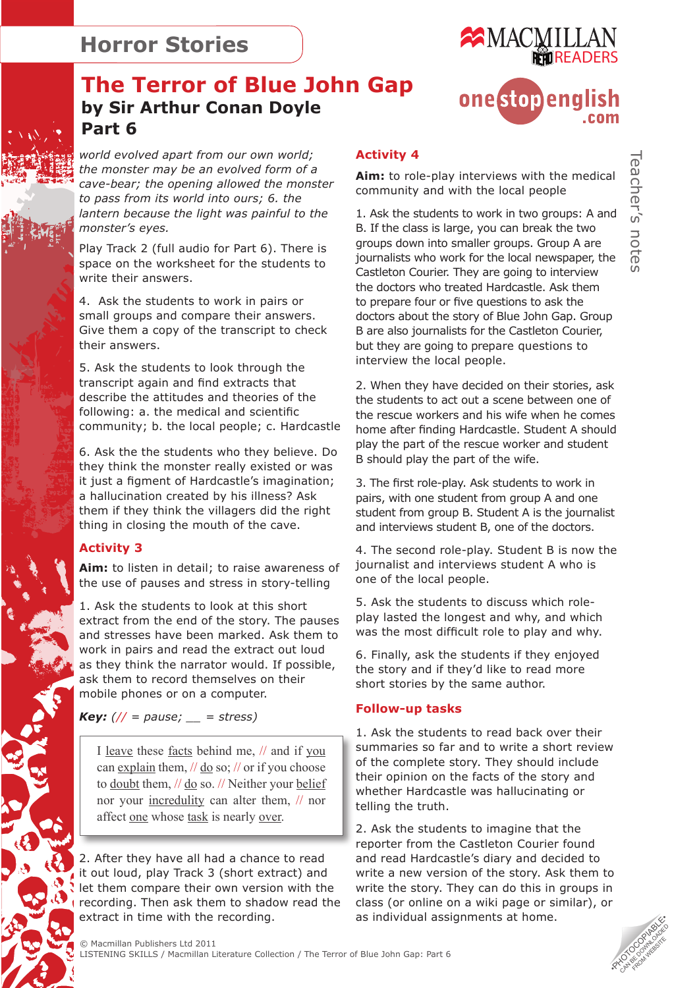

onestopenalish

## **The Terror of Blue John Gap by Sir Arthur Conan Doyle Part 6**

*world evolved apart from our own world; the monster may be an evolved form of a cave-bear; the opening allowed the monster to pass from its world into ours; 6. the lantern because the light was painful to the monster's eyes.*

Play Track 2 (full audio for Part 6). There is space on the worksheet for the students to write their answers.

4. Ask the students to work in pairs or small groups and compare their answers. Give them a copy of the transcript to check their answers.

5. Ask the students to look through the transcript again and find extracts that describe the attitudes and theories of the following: a. the medical and scientific community; b. the local people; c. Hardcastle

6. Ask the the students who they believe. Do they think the monster really existed or was it just a figment of Hardcastle's imagination; a hallucination created by his illness? Ask them if they think the villagers did the right thing in closing the mouth of the cave.

#### **Activity 3**

**Aim:** to listen in detail; to raise awareness of the use of pauses and stress in story-telling

1. Ask the students to look at this short extract from the end of the story. The pauses and stresses have been marked. Ask them to work in pairs and read the extract out loud as they think the narrator would. If possible, ask them to record themselves on their mobile phones or on a computer.

*Key: (// = pause; \_\_ = stress)*

I leave these facts behind me, // and if you can explain them,  $\frac{1}{\log \omega}$ ;  $\frac{1}{\omega}$  or if you choose to doubt them, // do so. // Neither your belief nor your incredulity can alter them, // nor affect one whose task is nearly over.

2. After they have all had a chance to read it out loud, play Track 3 (short extract) and let them compare their own version with the recording. Then ask them to shadow read the extract in time with the recording.

#### **Activity 4**

**Aim:** to role-play interviews with the medical community and with the local people

1. Ask the students to work in two groups: A and B. If the class is large, you can break the two groups down into smaller groups. Group A are journalists who work for the local newspaper, the Castleton Courier. They are going to interview the doctors who treated Hardcastle. Ask them to prepare four or five questions to ask the doctors about the story of Blue John Gap. Group B are also journalists for the Castleton Courier, but they are going to prepare questions to interview the local people.

2. When they have decided on their stories, ask the students to act out a scene between one of the rescue workers and his wife when he comes home after finding Hardcastle. Student A should play the part of the rescue worker and student B should play the part of the wife.

3. The first role-play. Ask students to work in pairs, with one student from group A and one student from group B. Student A is the journalist and interviews student B, one of the doctors.

4. The second role-play. Student B is now the journalist and interviews student A who is one of the local people.

5. Ask the students to discuss which roleplay lasted the longest and why, and which was the most difficult role to play and why.

6. Finally, ask the students if they enjoyed the story and if they'd like to read more short stories by the same author.

#### **Follow-up tasks**

1. Ask the students to read back over their summaries so far and to write a short review of the complete story. They should include their opinion on the facts of the story and whether Hardcastle was hallucinating or telling the truth.

2. Ask the students to imagine that the reporter from the Castleton Courier found and read Hardcastle's diary and decided to write a new version of the story. Ask them to write the story. They can do this in groups in class (or online on a wiki page or similar), or as individual assignments at home.

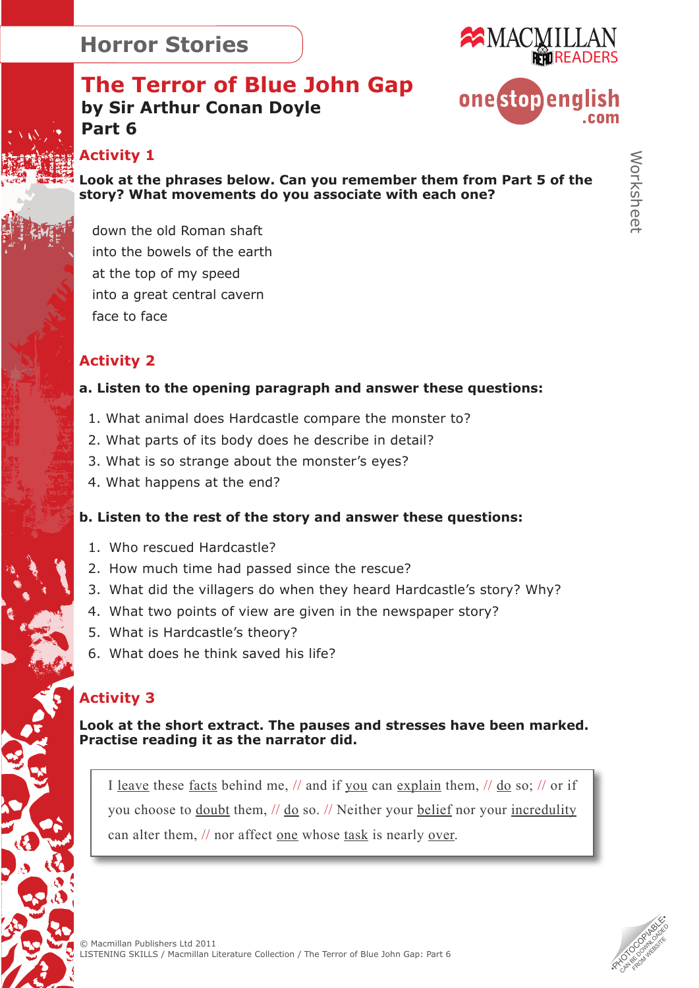

## **The Terror of Blue John Gap by Sir Arthur Conan Doyle Part 6**



**Activity 1** 

**Look at the phrases below. Can you remember them from Part 5 of the story? What movements do you associate with each one?** 

down the old Roman shaft into the bowels of the earth at the top of my speed into a great central cavern face to face

#### **Activity 2**

#### **a. Listen to the opening paragraph and answer these questions:**

- 1. What animal does Hardcastle compare the monster to?
- 2. What parts of its body does he describe in detail?
- 3. What is so strange about the monster's eyes?
- 4. What happens at the end?

#### **b. Listen to the rest of the story and answer these questions:**

- 1. Who rescued Hardcastle?
- 2. How much time had passed since the rescue?
- 3. What did the villagers do when they heard Hardcastle's story? Why?
- 4. What two points of view are given in the newspaper story?
- 5. What is Hardcastle's theory?
- 6. What does he think saved his life?

### **Activity 3**

**Look at the short extract. The pauses and stresses have been marked. Practise reading it as the narrator did.** 

I leave these facts behind me, // and if you can explain them, // do so; // or if you choose to doubt them, // do so. // Neither your belief nor your incredulity can alter them, // nor affect one whose task is nearly over.

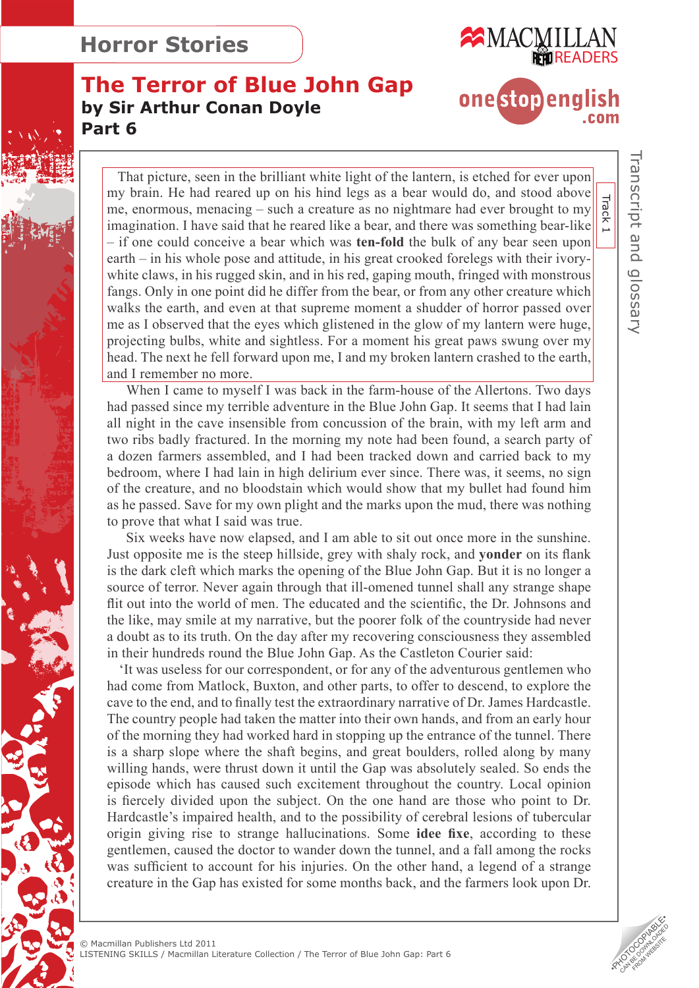

**The Terror of Blue John Gap by Sir Arthur Conan Doyle Part 6**

# **one**stopenglish  $com$

 That picture, seen in the brilliant white light of the lantern, is etched for ever upon my brain. He had reared up on his hind legs as a bear would do, and stood above my bian. The had rearcd up on his find regs as a bear would do, and stood above  $\frac{1}{\text{e}}$ <br>me, enormous, menacing – such a creature as no nightmare had ever brought to my imagination. I have said that he reared like a bear, and there was something bear-like  $\|\tilde{\mathbf{r}}\|$ – if one could conceive a bear which was **ten-fold** the bulk of any bear seen upon earth – in his whole pose and attitude, in his great crooked forelegs with their ivorywhite claws, in his rugged skin, and in his red, gaping mouth, fringed with monstrous fangs. Only in one point did he differ from the bear, or from any other creature which walks the earth, and even at that supreme moment a shudder of horror passed over me as I observed that the eyes which glistened in the glow of my lantern were huge, projecting bulbs, white and sightless. For a moment his great paws swung over my head. The next he fell forward upon me, I and my broken lantern crashed to the earth, and I remember no more.

 When I came to myself I was back in the farm-house of the Allertons. Two days had passed since my terrible adventure in the Blue John Gap. It seems that I had lain all night in the cave insensible from concussion of the brain, with my left arm and two ribs badly fractured. In the morning my note had been found, a search party of a dozen farmers assembled, and I had been tracked down and carried back to my bedroom, where I had lain in high delirium ever since. There was, it seems, no sign of the creature, and no bloodstain which would show that my bullet had found him as he passed. Save for my own plight and the marks upon the mud, there was nothing to prove that what I said was true.

 Six weeks have now elapsed, and I am able to sit out once more in the sunshine. Just opposite me is the steep hillside, grey with shaly rock, and **yonder** on its flank is the dark cleft which marks the opening of the Blue John Gap. But it is no longer a source of terror. Never again through that ill-omened tunnel shall any strange shape flit out into the world of men. The educated and the scientific, the Dr. Johnsons and the like, may smile at my narrative, but the poorer folk of the countryside had never a doubt as to its truth. On the day after my recovering consciousness they assembled in their hundreds round the Blue John Gap. As the Castleton Courier said:

 'It was useless for our correspondent, or for any of the adventurous gentlemen who had come from Matlock, Buxton, and other parts, to offer to descend, to explore the cave to the end, and to finally test the extraordinary narrative of Dr. James Hardcastle. The country people had taken the matter into their own hands, and from an early hour of the morning they had worked hard in stopping up the entrance of the tunnel. There is a sharp slope where the shaft begins, and great boulders, rolled along by many willing hands, were thrust down it until the Gap was absolutely sealed. So ends the episode which has caused such excitement throughout the country. Local opinion is fiercely divided upon the subject. On the one hand are those who point to Dr. Hardcastle's impaired health, and to the possibility of cerebral lesions of tubercular origin giving rise to strange hallucinations. Some **idee fixe**, according to these gentlemen, caused the doctor to wander down the tunnel, and a fall among the rocks was sufficient to account for his injuries. On the other hand, a legend of a strange creature in the Gap has existed for some months back, and the farmers look upon Dr.